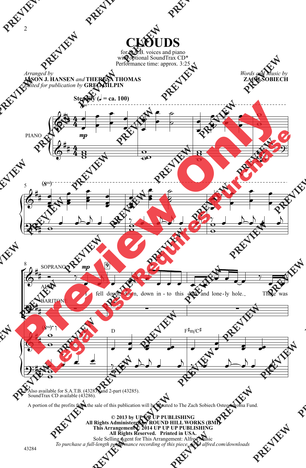## **CLOUDS**

for S.A.B. voices and piano with optional SoundTrax CD\* Performance time: approx. 3:25

*Arranged by*  **JASON J. HANSEN** *and* **THERESA THOMAS** *Edited for publication by* **GREG GILPIN**

*Words and Music by* **ZACH SOBIECH**



\* Also available for S.A.T.B. (43283) and 2-part (43285). SoundTrax CD available (43286).

A portion of the profits from the sale of this publication will be donated to The Zach Sobiech Osteosarcoma Fund.

**© 2013 by UP UP UP PUBLISHING All Rights Administered by ROUND HILL WORKS (BMI) This Arrangement © 2014 UP UP UP PUBLISHING All Rights Reserved. Printed in USA.** Sole Selling Agent for This Arrangement: Alfred Music *To purchase a full-length performance recording of this piece, go to alfred.com/downloads*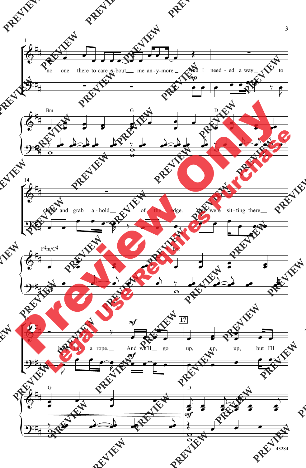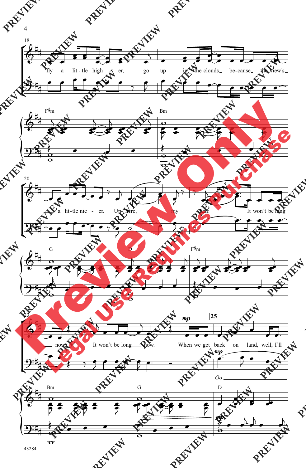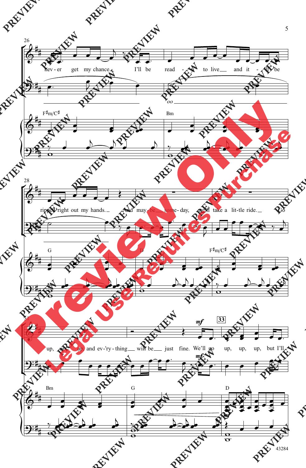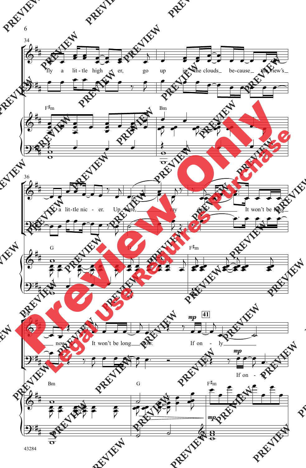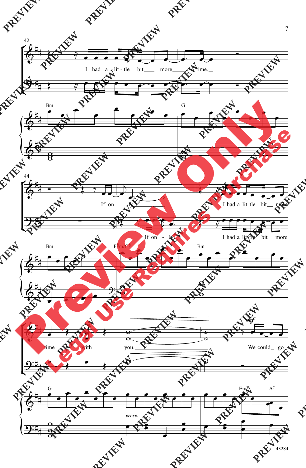![](_page_5_Figure_0.jpeg)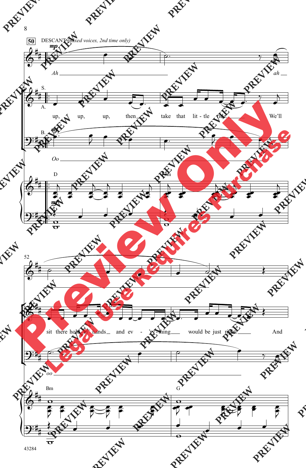![](_page_6_Figure_0.jpeg)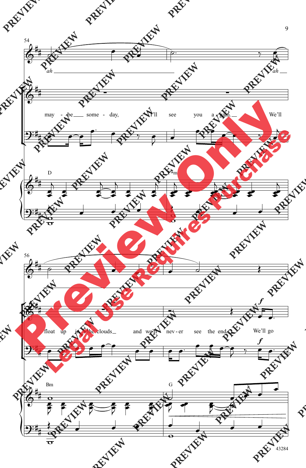![](_page_7_Figure_0.jpeg)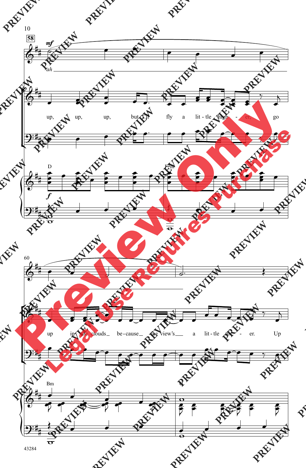![](_page_8_Figure_0.jpeg)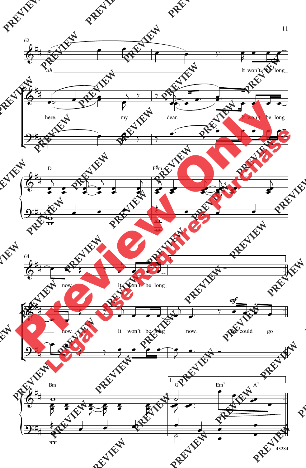![](_page_9_Figure_0.jpeg)